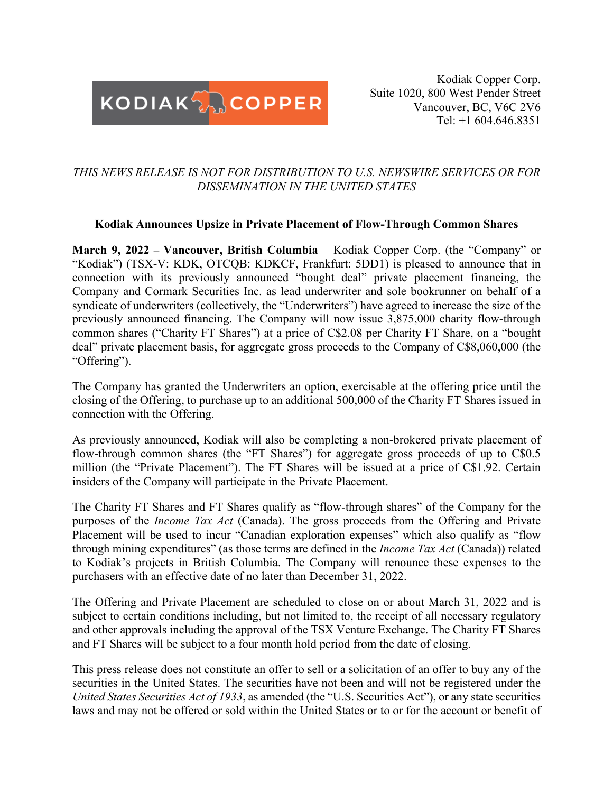

Kodiak Copper Corp. Suite 1020, 800 West Pender Street Vancouver, BC, V6C 2V6 Tel: +1 604.646.8351

# *THIS NEWS RELEASE IS NOT FOR DISTRIBUTION TO U.S. NEWSWIRE SERVICES OR FOR DISSEMINATION IN THE UNITED STATES*

#### **Kodiak Announces Upsize in Private Placement of Flow-Through Common Shares**

**March 9, 2022** – **Vancouver, British Columbia** – Kodiak Copper Corp. (the "Company" or "Kodiak") (TSX-V: KDK, OTCQB: KDKCF, Frankfurt: 5DD1) is pleased to announce that in connection with its previously announced "bought deal" private placement financing, the Company and Cormark Securities Inc. as lead underwriter and sole bookrunner on behalf of a syndicate of underwriters (collectively, the "Underwriters") have agreed to increase the size of the previously announced financing. The Company will now issue 3,875,000 charity flow-through common shares ("Charity FT Shares") at a price of C\$2.08 per Charity FT Share, on a "bought deal" private placement basis, for aggregate gross proceeds to the Company of C\$8,060,000 (the "Offering").

The Company has granted the Underwriters an option, exercisable at the offering price until the closing of the Offering, to purchase up to an additional 500,000 of the Charity FT Shares issued in connection with the Offering.

As previously announced, Kodiak will also be completing a non-brokered private placement of flow-through common shares (the "FT Shares") for aggregate gross proceeds of up to C\$0.5 million (the "Private Placement"). The FT Shares will be issued at a price of C\$1.92. Certain insiders of the Company will participate in the Private Placement.

The Charity FT Shares and FT Shares qualify as "flow-through shares" of the Company for the purposes of the *Income Tax Act* (Canada). The gross proceeds from the Offering and Private Placement will be used to incur "Canadian exploration expenses" which also qualify as "flow through mining expenditures" (as those terms are defined in the *Income Tax Act* (Canada)) related to Kodiak's projects in British Columbia. The Company will renounce these expenses to the purchasers with an effective date of no later than December 31, 2022.

The Offering and Private Placement are scheduled to close on or about March 31, 2022 and is subject to certain conditions including, but not limited to, the receipt of all necessary regulatory and other approvals including the approval of the TSX Venture Exchange. The Charity FT Shares and FT Shares will be subject to a four month hold period from the date of closing.

This press release does not constitute an offer to sell or a solicitation of an offer to buy any of the securities in the United States. The securities have not been and will not be registered under the *United States Securities Act of 1933*, as amended (the "U.S. Securities Act"), or any state securities laws and may not be offered or sold within the United States or to or for the account or benefit of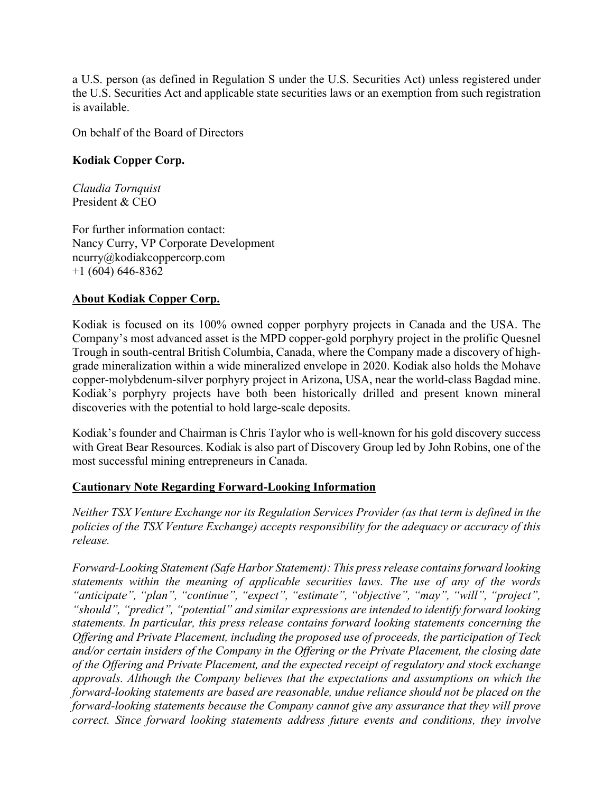a U.S. person (as defined in Regulation S under the U.S. Securities Act) unless registered under the U.S. Securities Act and applicable state securities laws or an exemption from such registration is available.

On behalf of the Board of Directors

## **Kodiak Copper Corp.**

*Claudia Tornquist* President & CEO

For further information contact: Nancy Curry, VP Corporate Development ncurry@kodiakcoppercorp.com +1 (604) 646-8362

## **About Kodiak Copper Corp.**

Kodiak is focused on its 100% owned copper porphyry projects in Canada and the USA. The Company's most advanced asset is the MPD copper-gold porphyry project in the prolific Quesnel Trough in south-central British Columbia, Canada, where the Company made a discovery of highgrade mineralization within a wide mineralized envelope in 2020. Kodiak also holds the Mohave copper-molybdenum-silver porphyry project in Arizona, USA, near the world-class Bagdad mine. Kodiak's porphyry projects have both been historically drilled and present known mineral discoveries with the potential to hold large-scale deposits.

Kodiak's founder and Chairman is Chris Taylor who is well-known for his gold discovery success with Great Bear Resources. Kodiak is also part of Discovery Group led by John Robins, one of the most successful mining entrepreneurs in Canada.

## **Cautionary Note Regarding Forward-Looking Information**

*Neither TSX Venture Exchange nor its Regulation Services Provider (as that term is defined in the policies of the TSX Venture Exchange) accepts responsibility for the adequacy or accuracy of this release.*

*Forward-Looking Statement (Safe Harbor Statement): This press release contains forward looking statements within the meaning of applicable securities laws. The use of any of the words "anticipate", "plan", "continue", "expect", "estimate", "objective", "may", "will", "project", "should", "predict", "potential" and similar expressions are intended to identify forward looking statements. In particular, this press release contains forward looking statements concerning the Offering and Private Placement, including the proposed use of proceeds, the participation of Teck and/or certain insiders of the Company in the Offering or the Private Placement, the closing date of the Offering and Private Placement, and the expected receipt of regulatory and stock exchange approvals. Although the Company believes that the expectations and assumptions on which the forward-looking statements are based are reasonable, undue reliance should not be placed on the forward-looking statements because the Company cannot give any assurance that they will prove correct. Since forward looking statements address future events and conditions, they involve*